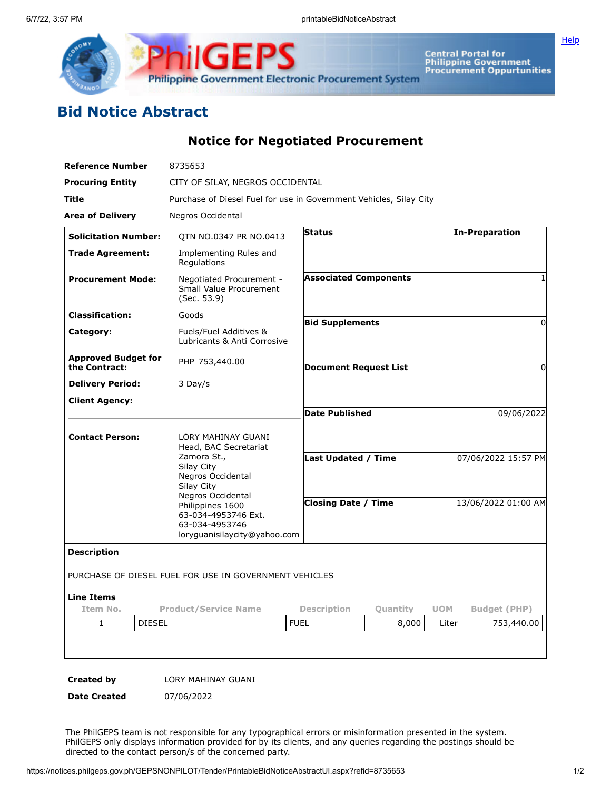

**ilGEPS Philippine Government Electronic Procurement System** 

Central Portal for<br>Philippine Government<br>Procurement Oppurtunities

## **Bid Notice Abstract**

**Notice for Negotiated Procurement**

| <b>Reference Number</b>                     | 8735653                                                                                                        |                              |                        |                     |                       |
|---------------------------------------------|----------------------------------------------------------------------------------------------------------------|------------------------------|------------------------|---------------------|-----------------------|
| <b>Procuring Entity</b>                     | CITY OF SILAY, NEGROS OCCIDENTAL                                                                               |                              |                        |                     |                       |
| Title                                       | Purchase of Diesel Fuel for use in Government Vehicles, Silay City                                             |                              |                        |                     |                       |
| <b>Area of Delivery</b>                     | Negros Occidental                                                                                              |                              |                        |                     |                       |
| <b>Solicitation Number:</b>                 | QTN NO.0347 PR NO.0413                                                                                         | <b>Status</b>                |                        |                     | <b>In-Preparation</b> |
| <b>Trade Agreement:</b>                     | Implementing Rules and<br>Regulations                                                                          |                              |                        |                     |                       |
| <b>Procurement Mode:</b>                    | Negotiated Procurement -<br><b>Small Value Procurement</b><br>(Sec. 53.9)                                      | <b>Associated Components</b> |                        |                     |                       |
| <b>Classification:</b>                      | Goods                                                                                                          |                              | <b>Bid Supplements</b> |                     | 0                     |
| Category:                                   | Fuels/Fuel Additives &<br>Lubricants & Anti Corrosive                                                          |                              |                        |                     |                       |
| <b>Approved Budget for</b><br>the Contract: | PHP 753,440.00                                                                                                 | <b>Document Request List</b> |                        |                     | 0                     |
| <b>Delivery Period:</b>                     | 3 Day/s                                                                                                        |                              |                        |                     |                       |
| <b>Client Agency:</b>                       |                                                                                                                |                              |                        |                     |                       |
|                                             |                                                                                                                | <b>Date Published</b>        |                        | 09/06/2022          |                       |
| <b>Contact Person:</b>                      | LORY MAHINAY GUANI<br>Head, BAC Secretariat<br>Zamora St.,<br>Silay City<br>Negros Occidental<br>Silay City    | Last Updated / Time          |                        | 07/06/2022 15:57 PM |                       |
|                                             | Negros Occidental<br>Philippines 1600<br>63-034-4953746 Ext.<br>63-034-4953746<br>loryguanisilaycity@yahoo.com | <b>Closing Date / Time</b>   |                        | 13/06/2022 01:00 AM |                       |
| <b>Description</b>                          |                                                                                                                |                              |                        |                     |                       |
|                                             | PURCHASE OF DIESEL FUEL FOR USE IN GOVERNMENT VEHICLES                                                         |                              |                        |                     |                       |
| <b>Line Items</b><br>Item No.               | <b>Product/Service Name</b>                                                                                    | <b>Description</b>           | Quantity               | <b>UOM</b>          | <b>Budget (PHP)</b>   |
| <b>DIESEL</b><br>$\mathbf{1}$               |                                                                                                                | <b>FUEL</b>                  | 8,000                  | Liter               | 753,440.00            |
|                                             |                                                                                                                |                              |                        |                     |                       |

**Created by** LORY MAHINAY GUANI

**Date Created** 07/06/2022

The PhilGEPS team is not responsible for any typographical errors or misinformation presented in the system. PhilGEPS only displays information provided for by its clients, and any queries regarding the postings should be directed to the contact person/s of the concerned party.